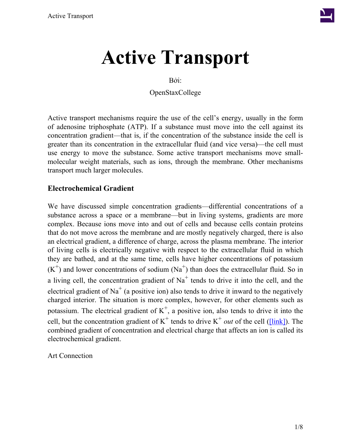

Bởi:

OpenStaxCollege

Active transport mechanisms require the use of the cell's energy, usually in the form of adenosine triphosphate (ATP). If a substance must move into the cell against its concentration gradient—that is, if the concentration of the substance inside the cell is greater than its concentration in the extracellular fluid (and vice versa)—the cell must use energy to move the substance. Some active transport mechanisms move smallmolecular weight materials, such as ions, through the membrane. Other mechanisms transport much larger molecules.

# **Electrochemical Gradient**

We have discussed simple concentration gradients—differential concentrations of a substance across a space or a membrane—but in living systems, gradients are more complex. Because ions move into and out of cells and because cells contain proteins that do not move across the membrane and are mostly negatively charged, there is also an electrical gradient, a difference of charge, across the plasma membrane. The interior of living cells is electrically negative with respect to the extracellular fluid in which they are bathed, and at the same time, cells have higher concentrations of potassium  $(K^+)$  and lower concentrations of sodium  $(Na^+)$  than does the extracellular fluid. So in a living cell, the concentration gradient of  $Na<sup>+</sup>$  tends to drive it into the cell, and the electrical gradient of Na<sup>+</sup> (a positive ion) also tends to drive it inward to the negatively charged interior. The situation is more complex, however, for other elements such as potassium. The electrical gradient of  $K^+$ , a positive ion, also tends to drive it into the cell, but the concentration gradient of  $K^+$  tends to drive  $K^+$  *out* of the cell ([\[link\]\)](/#fig-ch05_03_01). The combined gradient of concentration and electrical charge that affects an ion is called its electrochemical gradient.

Art Connection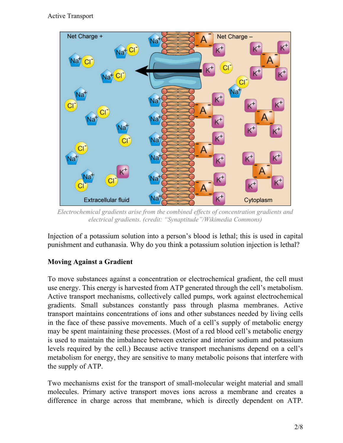

*Electrochemical gradients arise from the combined effects of concentration gradients and electrical gradients. (credit: "Synaptitude"/Wikimedia Commons)*

Injection of a potassium solution into a person's blood is lethal; this is used in capital punishment and euthanasia. Why do you think a potassium solution injection is lethal?

# **Moving Against a Gradient**

To move substances against a concentration or electrochemical gradient, the cell must use energy. This energy is harvested from ATP generated through the cell's metabolism. Active transport mechanisms, collectively called pumps, work against electrochemical gradients. Small substances constantly pass through plasma membranes. Active transport maintains concentrations of ions and other substances needed by living cells in the face of these passive movements. Much of a cell's supply of metabolic energy may be spent maintaining these processes. (Most of a red blood cell's metabolic energy is used to maintain the imbalance between exterior and interior sodium and potassium levels required by the cell.) Because active transport mechanisms depend on a cell's metabolism for energy, they are sensitive to many metabolic poisons that interfere with the supply of ATP.

Two mechanisms exist for the transport of small-molecular weight material and small molecules. Primary active transport moves ions across a membrane and creates a difference in charge across that membrane, which is directly dependent on ATP.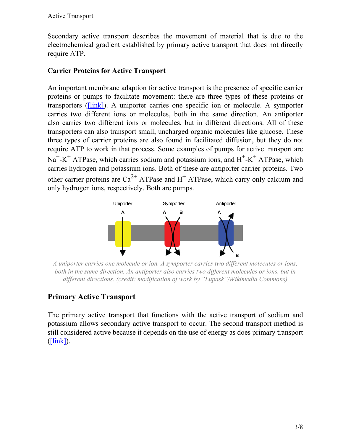Secondary active transport describes the movement of material that is due to the electrochemical gradient established by primary active transport that does not directly require ATP.

#### **Carrier Proteins for Active Transport**

An important membrane adaption for active transport is the presence of specific carrier proteins or pumps to facilitate movement: there are three types of these proteins or transporters [\(\[link\]](/#fig-ch05_03_02)). A uniporter carries one specific ion or molecule. A symporter carries two different ions or molecules, both in the same direction. An antiporter also carries two different ions or molecules, but in different directions. All of these transporters can also transport small, uncharged organic molecules like glucose. These three types of carrier proteins are also found in facilitated diffusion, but they do not require ATP to work in that process. Some examples of pumps for active transport are  $Na<sup>+</sup>-K<sup>+</sup> ATPase$ , which carries sodium and potassium ions, and  $H<sup>+</sup>-K<sup>+</sup> ATPase$ , which carries hydrogen and potassium ions. Both of these are antiporter carrier proteins. Two other carrier proteins are  $Ca^{2+}$  ATPase and H<sup>+</sup> ATPase, which carry only calcium and only hydrogen ions, respectively. Both are pumps.



*A uniporter carries one molecule or ion. A symporter carries two different molecules or ions, both in the same direction. An antiporter also carries two different molecules or ions, but in different directions. (credit: modification of work by "Lupask"/Wikimedia Commons)*

# **Primary Active Transport**

The primary active transport that functions with the active transport of sodium and potassium allows secondary active transport to occur. The second transport method is still considered active because it depends on the use of energy as does primary transport  $($ [link]).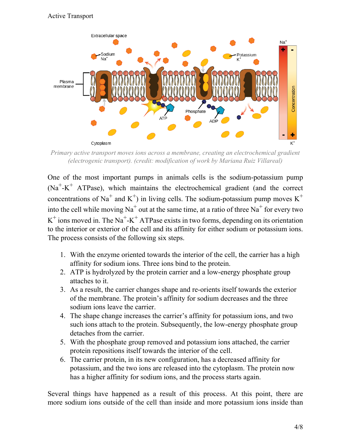

*Primary active transport moves ions across a membrane, creating an electrochemical gradient (electrogenic transport). (credit: modification of work by Mariana Ruiz Villareal)*

One of the most important pumps in animals cells is the sodium-potassium pump  $(Na^+ - K^+$  ATPase), which maintains the electrochemical gradient (and the correct concentrations of Na<sup>+</sup> and K<sup>+</sup>) in living cells. The sodium-potassium pump moves K<sup>+</sup> into the cell while moving Na<sup>+</sup> out at the same time, at a ratio of three Na<sup>+</sup> for every two  $K^+$  ions moved in. The Na<sup>+</sup>-K<sup>+</sup> ATPase exists in two forms, depending on its orientation to the interior or exterior of the cell and its affinity for either sodium or potassium ions. The process consists of the following six steps.

- 1. With the enzyme oriented towards the interior of the cell, the carrier has a high affinity for sodium ions. Three ions bind to the protein.
- 2. ATP is hydrolyzed by the protein carrier and a low-energy phosphate group attaches to it.
- 3. As a result, the carrier changes shape and re-orients itself towards the exterior of the membrane. The protein's affinity for sodium decreases and the three sodium ions leave the carrier.
- 4. The shape change increases the carrier's affinity for potassium ions, and two such ions attach to the protein. Subsequently, the low-energy phosphate group detaches from the carrier.
- 5. With the phosphate group removed and potassium ions attached, the carrier protein repositions itself towards the interior of the cell.
- 6. The carrier protein, in its new configuration, has a decreased affinity for potassium, and the two ions are released into the cytoplasm. The protein now has a higher affinity for sodium ions, and the process starts again.

Several things have happened as a result of this process. At this point, there are more sodium ions outside of the cell than inside and more potassium ions inside than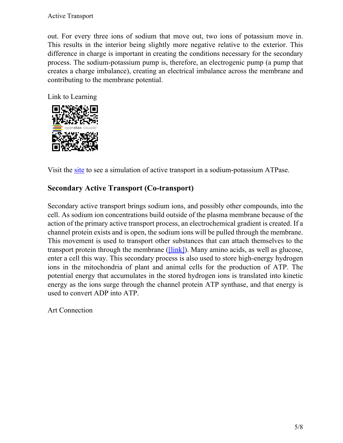out. For every three ions of sodium that move out, two ions of potassium move in. This results in the interior being slightly more negative relative to the exterior. This difference in charge is important in creating the conditions necessary for the secondary process. The sodium-potassium pump is, therefore, an electrogenic pump (a pump that creates a charge imbalance), creating an electrical imbalance across the membrane and contributing to the membrane potential.

Link to Learning



Visit the [site](http://openstaxcollege.org/l/Na_K_ATPase) to see a simulation of active transport in a sodium-potassium ATPase.

# **Secondary Active Transport (Co-transport)**

Secondary active transport brings sodium ions, and possibly other compounds, into the cell. As sodium ion concentrations build outside of the plasma membrane because of the action of the primary active transport process, an electrochemical gradient is created. If a channel protein exists and is open, the sodium ions will be pulled through the membrane. This movement is used to transport other substances that can attach themselves to the transport protein through the membrane ([\[link\]\)](/#fig-ch05_03_04). Many amino acids, as well as glucose, enter a cell this way. This secondary process is also used to store high-energy hydrogen ions in the mitochondria of plant and animal cells for the production of ATP. The potential energy that accumulates in the stored hydrogen ions is translated into kinetic energy as the ions surge through the channel protein ATP synthase, and that energy is used to convert ADP into ATP.

Art Connection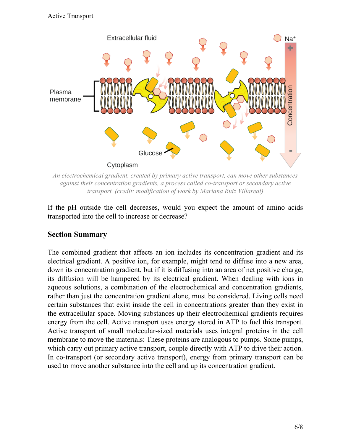

*An electrochemical gradient, created by primary active transport, can move other substances against their concentration gradients, a process called co-transport or secondary active transport. (credit: modification of work by Mariana Ruiz Villareal)*

If the pH outside the cell decreases, would you expect the amount of amino acids transported into the cell to increase or decrease?

# **Section Summary**

The combined gradient that affects an ion includes its concentration gradient and its electrical gradient. A positive ion, for example, might tend to diffuse into a new area, down its concentration gradient, but if it is diffusing into an area of net positive charge, its diffusion will be hampered by its electrical gradient. When dealing with ions in aqueous solutions, a combination of the electrochemical and concentration gradients, rather than just the concentration gradient alone, must be considered. Living cells need certain substances that exist inside the cell in concentrations greater than they exist in the extracellular space. Moving substances up their electrochemical gradients requires energy from the cell. Active transport uses energy stored in ATP to fuel this transport. Active transport of small molecular-sized materials uses integral proteins in the cell membrane to move the materials: These proteins are analogous to pumps. Some pumps, which carry out primary active transport, couple directly with ATP to drive their action. In co-transport (or secondary active transport), energy from primary transport can be used to move another substance into the cell and up its concentration gradient.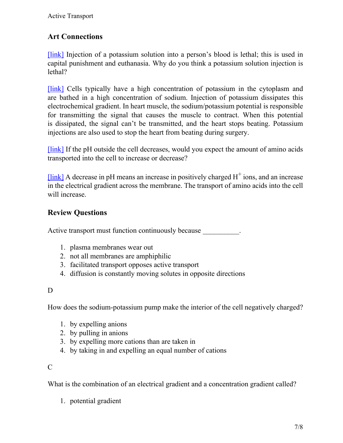# **Art Connections**

[\[link\]](/#fig-ch05_03_01) Injection of a potassium solution into a person's blood is lethal; this is used in capital punishment and euthanasia. Why do you think a potassium solution injection is lethal?

[\[link\]](/#fig-ch05_03_01) Cells typically have a high concentration of potassium in the cytoplasm and are bathed in a high concentration of sodium. Injection of potassium dissipates this electrochemical gradient. In heart muscle, the sodium/potassium potential is responsible for transmitting the signal that causes the muscle to contract. When this potential is dissipated, the signal can't be transmitted, and the heart stops beating. Potassium injections are also used to stop the heart from beating during surgery.

[\[link\]](/#fig-ch05_03_04) If the pH outside the cell decreases, would you expect the amount of amino acids transported into the cell to increase or decrease?

[ $link$ ] A decrease in pH means an increase in positively charged  $H^+$  ions, and an increase in the electrical gradient across the membrane. The transport of amino acids into the cell will increase.

# **Review Questions**

Active transport must function continuously because

- 1. plasma membranes wear out
- 2. not all membranes are amphiphilic
- 3. facilitated transport opposes active transport
- 4. diffusion is constantly moving solutes in opposite directions

#### D

How does the sodium-potassium pump make the interior of the cell negatively charged?

- 1. by expelling anions
- 2. by pulling in anions
- 3. by expelling more cations than are taken in
- 4. by taking in and expelling an equal number of cations

# $\mathcal{C}$

What is the combination of an electrical gradient and a concentration gradient called?

1. potential gradient